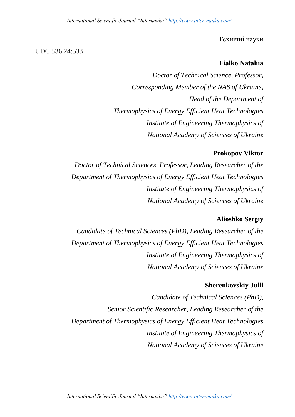#### Технічні науки

#### UDC 536.24:533

## **Fialko Nataliia**

*Doctor of Technical Science, Professor, Corresponding Member of the NAS of Ukraine, Head of the Department of Thermophysics of Energy Efficient Heat Technologies Institute of Engineering Thermophysics of National Academy of Sciences of Ukraine*

#### **Prokopov Viktor**

*Doctor of Technical Sciences, Professor, Leading Researcher of the Department of Thermophysics of Energy Efficient Heat Technologies Institute of Engineering Thermophysics of National Academy of Sciences of Ukraine*

## **Alioshko Sergiy**

*Candidate of Technical Sciences (PhD), Leading Researcher of the Department of Thermophysics of Energy Efficient Heat Technologies Institute of Engineering Thermophysics of National Academy of Sciences of Ukraine*

#### **Sherenkovskiy Julii**

*Candidate of Technical Sciences (PhD), Senior Scientific Researcher, Leading Researcher of the Department of Thermophysics of Energy Efficient Heat Technologies Institute of Engineering Thermophysics of National Academy of Sciences of Ukraine*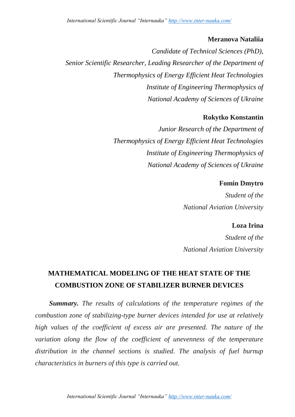# **Meranova Nataliia**

*Candidate of Technical Sciences (PhD), Senior Scientific Researcher, Leading Researcher of the Department of Thermophysics of Energy Efficient Heat Technologies Institute of Engineering Thermophysics of National Academy of Sciences of Ukraine*

# **Rokytko Konstantin**

*Junior Research of the Department of Thermophysics of Energy Efficient Heat Technologies Institute of Engineering Thermophysics of National Academy of Sciences of Ukraine*

# **Fomin Dmytro**

*Student of the National Aviation University*

**Loza Irina**

*Student of the National Aviation University*

# **MATHEMATICAL MODELING OF THE HEAT STATE OF THE COMBUSTION ZONE OF STABILIZER BURNER DEVICES**

*Summary. The results of calculations of the temperature regimes of the combustion zone of stabilizing-type burner devices intended for use at relatively high values of the coefficient of excess air are presented. The nature of the variation along the flow of the coefficient of unevenness of the temperature* distribution in the channel sections is studied. The analysis of fuel burnup *characteristics in burners of this type is carried out.*

*Іntеrnаtіоnаl Scіеntіfіc Jоurnаl "Іntеrnаukа" [http://www.іntеr-nаukа.cоm/](http://www.іnter-nаukа.cоm/)*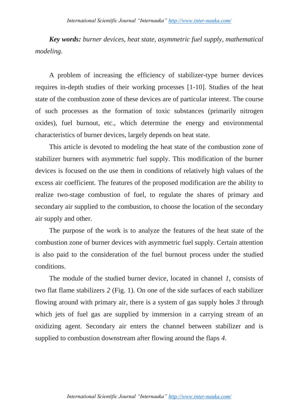*Key words: burner devices, heat state, asymmetric fuel supply, mathematical modeling.*

A problem of increasing the efficiency of stabilizer-type burner devices requires in-depth studies of their working processes [1-10]. Studies of the heat state of the combustion zone of these devices are of particular interest. The course of such processes as the formation of toxic substances (primarily nitrogen oxides), fuel burnout, etc., which determine the energy and environmental characteristics of burner devices, largely depends on heat state.

This article is devoted to modeling the heat state of the combustion zone of stabilizer burners with asymmetric fuel supply. This modification of the burner devices is focused on the use them in conditions of relatively high values of the excess air coefficient. The features of the proposed modification are the ability to realize two-stage combustion of fuel, to regulate the shares of primary and secondary air supplied to the combustion, to choose the location of the secondary air supply and other.

The purpose of the work is to analyze the features of the heat state of the combustion zone of burner devices with asymmetric fuel supply. Certain attention is also paid to the consideration of the fuel burnout process under the studied conditions.

The module of the studied burner device, located in channel *1*, consists of two flat flame stabilizers *2* (Fig. 1). On one of the side surfaces of each stabilizer flowing around with primary air, there is a system of gas supply holes *3* through which jets of fuel gas are supplied by immersion in a carrying stream of an oxidizing agent. Secondary air enters the channel between stabilizer and is supplied to combustion downstream after flowing around the flaps *4*.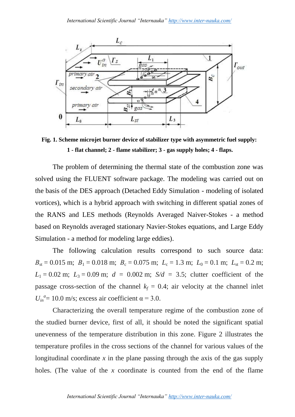

**Fig. 1. Scheme microjet burner device of stabilizer type with asymmetric fuel supply: 1 - flat channel; 2 - flame stabilizer; 3 - gas supply holes; 4 - flaps.**

The problem of determining the thermal state of the combustion zone was solved using the FLUENT software package. The modeling was carried out on the basis of the DES approach (Detached Eddy Simulation - modeling of isolated vortices), which is a hybrid approach with switching in different spatial zones of the RANS and LES methods (Reynolds Averaged Naiver-Stokes - a method based on Reynolds averaged stationary Navier-Stokes equations, and Large Eddy Simulation - a method for modeling large eddies).

The following calculation results correspond to such source data:  $B_{\rm st} = 0.015$  m;  $B_1 = 0.018$  m;  $B_c = 0.075$  m;  $L_c = 1.3$  m;  $L_0 = 0.1$  m;  $L_{\rm st} = 0.2$  m;  $L_1 = 0.02$  m;  $L_3 = 0.09$  m;  $d = 0.002$  m;  $S/d = 3.5$ ; clutter coefficient of the passage cross-section of the channel  $k_f = 0.4$ ; air velocity at the channel inlet  $U_{in}^{a}$  = 10.0 m/s; excess air coefficient  $\alpha$  = 3.0.

Characterizing the overall temperature regime of the combustion zone of the studied burner device, first of all, it should be noted the significant spatial unevenness of the temperature distribution in this zone. Figure 2 illustrates the temperature profiles in the cross sections of the channel for various values of the longitudinal coordinate *x* in the plane passing through the axis of the gas supply holes. (The value of the *x* coordinate is counted from the end of the flame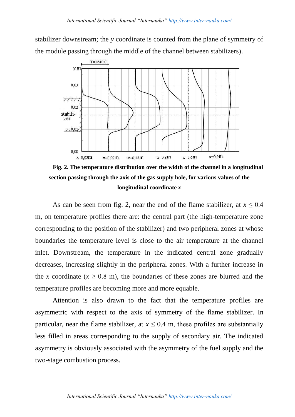stabilizer downstream; the *y* coordinate is counted from the plane of symmetry of the module passing through the middle of the channel between stabilizers).



**Fig. 2. The temperature distribution over the width of the channel in a longitudinal section passing through the axis of the gas supply hole, for various values of the longitudinal coordinate** *x*

As can be seen from fig. 2, near the end of the flame stabilizer, at  $x \leq 0.4$ m, on temperature profiles there are: the central part (the high-temperature zone corresponding to the position of the stabilizer) and two peripheral zones at whose boundaries the temperature level is close to the air temperature at the channel inlet. Downstream, the temperature in the indicated central zone gradually decreases, increasing slightly in the peripheral zones. With a further increase in the *x* coordinate ( $x \ge 0.8$  m), the boundaries of these zones are blurred and the temperature profiles are becoming more and more equable.

Attention is also drawn to the fact that the temperature profiles are asymmetric with respect to the axis of symmetry of the flame stabilizer. In particular, near the flame stabilizer, at  $x \le 0.4$  m, these profiles are substantially less filled in areas corresponding to the supply of secondary air. The indicated asymmetry is obviously associated with the asymmetry of the fuel supply and the two-stage combustion process.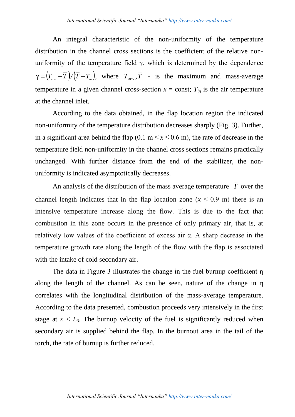An integral characteristic of the non-uniformity of the temperature distribution in the channel cross sections is the coefficient of the relative nonuniformity of the temperature field  $\gamma$ , which is determined by the dependence  $\gamma = (T_{\text{max}} - \overline{T}) / (\overline{T} - T_{\text{in}})$ , where  $T_{\text{max}}$ ,  $\overline{T}$  - is the maximum and mass-average temperature in a given channel cross-section  $x =$  const;  $T_{in}$  is the air temperature at the channel inlet.

According to the data obtained, in the flap location region the indicated non-uniformity of the temperature distribution decreases sharply (Fig. 3). Further, in a significant area behind the flap  $(0.1 \text{ m} \le x \le 0.6 \text{ m})$ , the rate of decrease in the temperature field non-uniformity in the channel cross sections remains practically unchanged. With further distance from the end of the stabilizer, the nonuniformity is indicated asymptotically decreases.

An analysis of the distribution of the mass average temperature *T* over the channel length indicates that in the flap location zone ( $x \le 0.9$  m) there is an intensive temperature increase along the flow. This is due to the fact that combustion in this zone occurs in the presence of only primary air, that is, at relatively low values of the coefficient of excess air α. A sharp decrease in the temperature growth rate along the length of the flow with the flap is associated with the intake of cold secondary air.

The data in Figure 3 illustrates the change in the fuel burnup coefficient η along the length of the channel. As can be seen, nature of the change in η correlates with the longitudinal distribution of the mass-average temperature. According to the data presented, combustion proceeds very intensively in the first stage at  $x < L_3$ . The burnup velocity of the fuel is significantly reduced when secondary air is supplied behind the flap. In the burnout area in the tail of the torch, the rate of burnup is further reduced.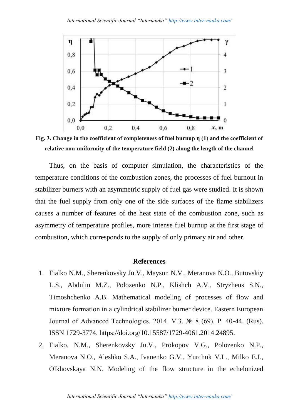

**Fig. 3. Change in the coefficient of completeness of fuel burnup η (1) and the coefficient of relative non-uniformity of the temperature field (2) along the length of the channel**

Thus, on the basis of computer simulation, the characteristics of the temperature conditions of the combustion zones, the processes of fuel burnout in stabilizer burners with an asymmetric supply of fuel gas were studied. It is shown that the fuel supply from only one of the side surfaces of the flame stabilizers causes a number of features of the heat state of the combustion zone, such as asymmetry of temperature profiles, more intense fuel burnup at the first stage of combustion, which corresponds to the supply of only primary air and other.

## **References**

- 1. Fialko N.M., Sherenkovsky Ju.V., Mayson N.V., Meranova N.O., Butovskiy L.S., Abdulin M.Z., Polozenko N.P., Klishch A.V., Stryzheus S.N., Timoshchenko A.B. Mathematical modeling of processes of flow and mixture formation in a cylindrical stabilizer burner device. Eastern European Journal of Advanced Technologies. 2014. V.3. № 8 (69). P. 40-44. (Rus). ISSN 1729-3774. https://doi.org/10.15587/1729-4061.2014.24895.
- 2. Fialko, N.M., Sherenkovsky Ju.V., Prokopov V.G., Polozenko N.P., Meranova N.O., Aleshko S.A., Ivanenko G.V., Yurchuk V.L., Milko E.I., Olkhovskaya N.N. Modeling of the flow structure in the echelonized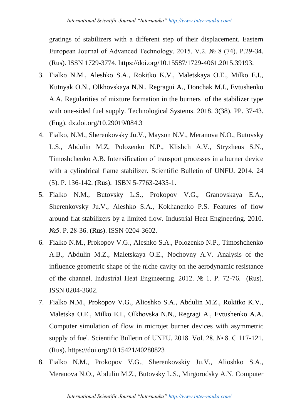gratings of stabilizers with a different step of their displacement. Eastern European Journal of Advanced Technology. 2015. V.2. № 8 (74). P.29-34. (Rus). ISSN 1729-3774. https://doi.org/10.15587/1729-4061.2015.39193.

- 3. Fialko N.M., Aleshko S.A., Rokitko K.V., Maletskaya O.E., Milko E.I., Kutnyak O.N., Olkhovskaya N.N., Regragui A., Donchak M.I., Evtushenko A.A. Regularities of mixture formation in the burners of the stabilizer type with one-sided fuel supply. [Technological Systems.](http://technological-systems.com/index.php/Home) 2018. 3(38). PP. 37-43. (Eng). dx.doi.org/10.29019/084.3
- 4. Fialko, N.M., Sherenkovsky Ju.V., Mayson N.V., Meranova N.O., Butovsky L.S., Abdulin M.Z, Polozenko N.P., Klishch A.V., Stryzheus S.N., Timoshchenko A.B. Intensification of transport processes in a burner device with a cylindrical flame stabilizer. Scientific Bulletin of UNFU. 2014. 24 (5). P. 136-142. (Rus). ISBN 5-7763-2435-1.
- 5. Fialko N.M., Butovsky L.S., Prokopov V.G., Granovskaya E.A., Sherenkovsky Ju.V., Aleshko S.A., Kokhanenko P.S. Features of flow around flat stabilizers by a limited flow. Industrial Heat Engineering. 2010. №5. P. 28-36. (Rus). ISSN 0204-3602.
- 6. Fialko N.M., Prokopov V.G., Aleshko S.A., Polozenko N.P., Timoshchenko A.B., Abdulin M.Z., Maletskaya O.E., Nochovny A.V. Analysis of the influence geometric shape of the niche cavity on the aerodynamic resistance of the channel. Industrial Heat Engineering. 2012. № 1. P. 72-76. (Rus). ISSN 0204-3602.
- 7. Fialko N.M., Prokopov V.G., Alioshko S.A., Abdulin M.Z., Rokitko K.V., Maletska O.E., Milko E.I., Olkhovska N.N., Regragi A., Evtushenko A.A. Computer simulation of flow in microjet burner devices with asymmetric supply of fuel. Scientific Bulletin of UNFU. 2018. Vol. 28. № 8. C 117-121. (Rus). https://doi.org/10.15421/40280823
- 8. Fialko N.M., Prokopov V.G., Sherenkovskiy Ju.V., Alioshko S.A., Meranova N.O., Abdulin M.Z., Butovsky L.S., Mirgorodsky A.N. Computer